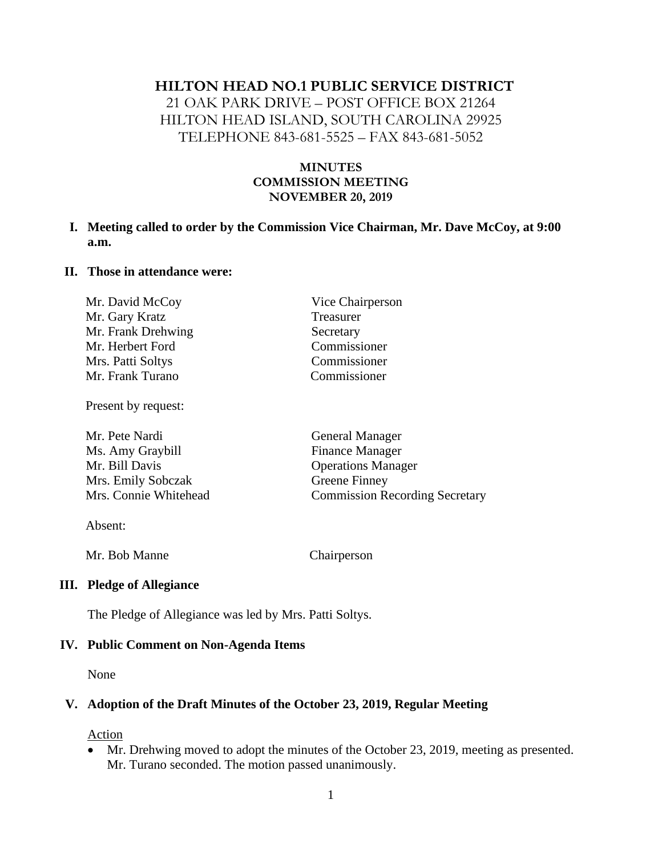### **HILTON HEAD NO.1 PUBLIC SERVICE DISTRICT**

21 OAK PARK DRIVE – POST OFFICE BOX 21264 HILTON HEAD ISLAND, SOUTH CAROLINA 29925 TELEPHONE 843-681-5525 – FAX 843-681-5052

### **MINUTES COMMISSION MEETING NOVEMBER 20, 2019**

**I. Meeting called to order by the Commission Vice Chairman, Mr. Dave McCoy, at 9:00 a.m.**

#### **II. Those in attendance were:**

| Mr. David McCoy    | Vice Chairperson |
|--------------------|------------------|
| Mr. Gary Kratz     | Treasurer        |
| Mr. Frank Drehwing | Secretary        |
| Mr. Herbert Ford   | Commissioner     |
| Mrs. Patti Soltys  | Commissioner     |
| Mr. Frank Turano   | Commissioner     |

Present by request:

| Mr. Pete Nardi        | <b>General Manager</b>                |
|-----------------------|---------------------------------------|
| Ms. Amy Graybill      | <b>Finance Manager</b>                |
| Mr. Bill Davis        | <b>Operations Manager</b>             |
| Mrs. Emily Sobczak    | <b>Greene Finney</b>                  |
| Mrs. Connie Whitehead | <b>Commission Recording Secretary</b> |
|                       |                                       |

Absent:

Mr. Bob Manne Chairperson

#### **III. Pledge of Allegiance**

The Pledge of Allegiance was led by Mrs. Patti Soltys.

#### **IV. Public Comment on Non-Agenda Items**

None

#### **V. Adoption of the Draft Minutes of the October 23, 2019, Regular Meeting**

#### **Action**

• Mr. Drehwing moved to adopt the minutes of the October 23, 2019, meeting as presented. Mr. Turano seconded. The motion passed unanimously.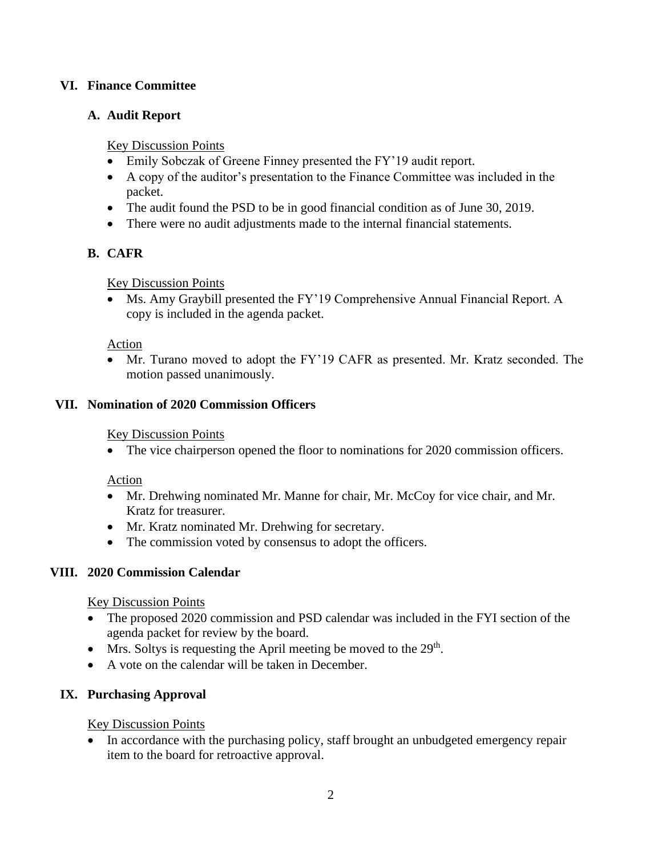## **VI. Finance Committee**

### **A. Audit Report**

Key Discussion Points

- Emily Sobczak of Greene Finney presented the FY'19 audit report.
- A copy of the auditor's presentation to the Finance Committee was included in the packet.
- The audit found the PSD to be in good financial condition as of June 30, 2019.
- There were no audit adjustments made to the internal financial statements.

## **B. CAFR**

Key Discussion Points

• Ms. Amy Graybill presented the FY'19 Comprehensive Annual Financial Report. A copy is included in the agenda packet.

#### Action

• Mr. Turano moved to adopt the FY'19 CAFR as presented. Mr. Kratz seconded. The motion passed unanimously.

### **VII. Nomination of 2020 Commission Officers**

#### Key Discussion Points

• The vice chairperson opened the floor to nominations for 2020 commission officers.

Action

- Mr. Drehwing nominated Mr. Manne for chair, Mr. McCoy for vice chair, and Mr. Kratz for treasurer.
- Mr. Kratz nominated Mr. Drehwing for secretary.
- The commission voted by consensus to adopt the officers.

## **VIII. 2020 Commission Calendar**

#### Key Discussion Points

- The proposed 2020 commission and PSD calendar was included in the FYI section of the agenda packet for review by the board.
- Mrs. Soltys is requesting the April meeting be moved to the  $29<sup>th</sup>$ .
- A vote on the calendar will be taken in December.

## **IX. Purchasing Approval**

Key Discussion Points

• In accordance with the purchasing policy, staff brought an unbudgeted emergency repair item to the board for retroactive approval.